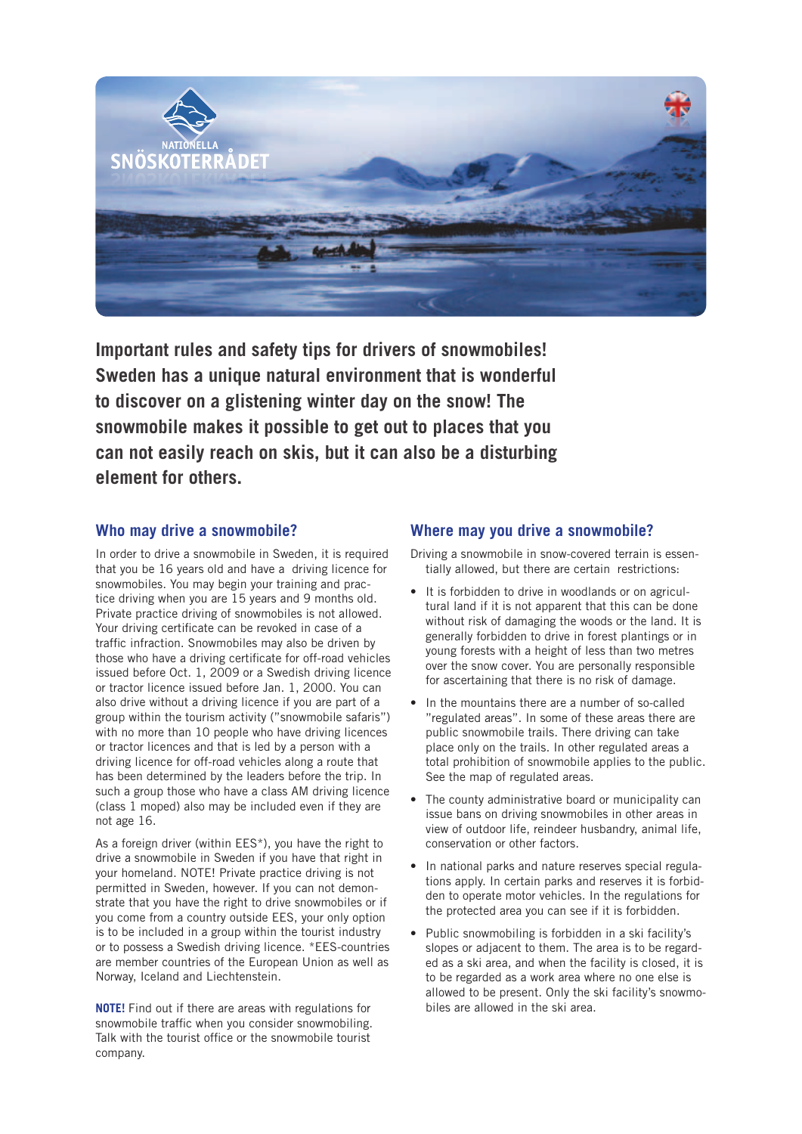

**Important rules and safety tips for drivers of snowmobiles! Sweden has a unique natural environment that is wonderful to discover on a glistening winter day on the snow! The snowmobile makes it possible to get out to places that you can not easily reach on skis, but it can also be a disturbing element for others.**

## **Who may drive a snowmobile?**

In order to drive a snowmobile in Sweden, it is required that you be 16 years old and have a driving licence for snowmobiles. You may begin your training and practice driving when you are 15 years and 9 months old. Private practice driving of snowmobiles is not allowed. Your driving certificate can be revoked in case of a traffic infraction. Snowmobiles may also be driven by those who have a driving certificate for off-road vehicles issued before Oct. 1, 2009 or a Swedish driving licence or tractor licence issued before Jan. 1, 2000. You can also drive without a driving licence if you are part of a group within the tourism activity ("snowmobile safaris") with no more than 10 people who have driving licences or tractor licences and that is led by a person with a driving licence for off-road vehicles along a route that has been determined by the leaders before the trip. In such a group those who have a class AM driving licence (class 1 moped) also may be included even if they are not age 16.

As a foreign driver (within EES\*), you have the right to drive a snowmobile in Sweden if you have that right in your homeland. NOTE! Private practice driving is not permitted in Sweden, however. If you can not demonstrate that you have the right to drive snowmobiles or if you come from a country outside EES, your only option is to be included in a group within the tourist industry or to possess a Swedish driving licence. \*EES-countries are member countries of the European Union as well as Norway, Iceland and Liechtenstein.

**NOTE!** Find out if there are areas with regulations for snowmobile traffic when you consider snowmobiling. Talk with the tourist office or the snowmobile tourist company.

#### **Where may you drive a snowmobile?**

Driving a snowmobile in snow-covered terrain is essentially allowed, but there are certain restrictions:

- It is forbidden to drive in woodlands or on agricultural land if it is not apparent that this can be done without risk of damaging the woods or the land. It is generally forbidden to drive in forest plantings or in young forests with a height of less than two metres over the snow cover. You are personally responsible for ascertaining that there is no risk of damage.
- In the mountains there are a number of so-called "regulated areas". In some of these areas there are public snowmobile trails. There driving can take place only on the trails. In other regulated areas a total prohibition of snowmobile applies to the public. See the map of regulated areas.
- The county administrative board or municipality can issue bans on driving snowmobiles in other areas in view of outdoor life, reindeer husbandry, animal life, conservation or other factors.
- In national parks and nature reserves special regulations apply. In certain parks and reserves it is forbidden to operate motor vehicles. In the regulations for the protected area you can see if it is forbidden.
- Public snowmobiling is forbidden in a ski facility's slopes or adjacent to them. The area is to be regarded as a ski area, and when the facility is closed, it is to be regarded as a work area where no one else is allowed to be present. Only the ski facility's snowmobiles are allowed in the ski area.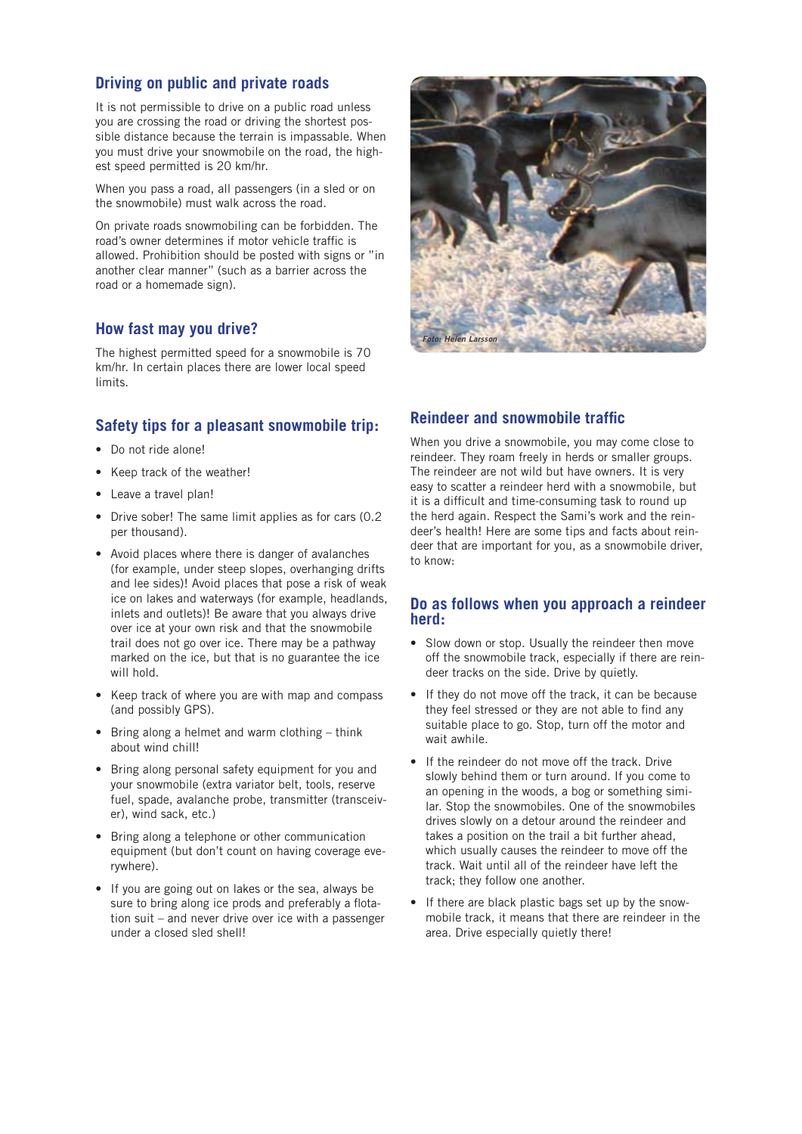## **Driving on public and private roads**

It is not permissible to drive on a public road unless you are crossing the road or driving the shortest possible distance because the terrain is impassable. When you must drive your snowmobile on the road, the highest speed permitted is 20 km/hr.

When you pass a road, all passengers (in a sled or on the snowmobile) must walk across the road.

On private roads snowmobiling can be forbidden. The road's owner determines if motor vehicle traffic is allowed. Prohibition should be posted with signs or "in another clear manner" (such as a barrier across the road or a homemade sign).

# **How fast may you drive?**

The highest permitted speed for a snowmobile is 70 km/hr. In certain places there are lower local speed limits.

# **Safety tips for a pleasant snowmobile trip:**

- Do not ride alone!
- Keep track of the weather!
- Leave a travel plan!
- Drive sober! The same limit applies as for cars (0.2 per thousand).
- Avoid places where there is danger of avalanches (for example, under steep slopes, overhanging drifts and lee sides)! Avoid places that pose a risk of weak ice on lakes and waterways (for example, headlands, inlets and outlets)! Be aware that you always drive over ice at your own risk and that the snowmobile trail does not go over ice. There may be a pathway marked on the ice, but that is no guarantee the ice will hold.
- Keep track of where you are with map and compass (and possibly GPS).
- Bring along a helmet and warm clothing think about wind chill!
- Bring along personal safety equipment for you and your snowmobile (extra variator belt, tools, reserve fuel, spade, avalanche probe, transmitter (transceiver), wind sack, etc.)
- Bring along a telephone or other communication equipment (but don't count on having coverage everywhere).
- If you are going out on lakes or the sea, always be sure to bring along ice prods and preferably a flotation suit – and never drive over ice with a passenger under a closed sled shell!



# **Reindeer and snowmobile traffic**

When you drive a snowmobile, you may come close to reindeer. They roam freely in herds or smaller groups. The reindeer are not wild but have owners. It is very easy to scatter a reindeer herd with a snowmobile, but it is a difficult and time-consuming task to round up the herd again. Respect the Sami's work and the reindeer's health! Here are some tips and facts about reindeer that are important for you, as a snowmobile driver, to know:

## **Do as follows when you approach a reindeer herd:**

- Slow down or stop. Usually the reindeer then move off the snowmobile track, especially if there are reindeer tracks on the side. Drive by quietly.
- If they do not move off the track, it can be because they feel stressed or they are not able to find any suitable place to go. Stop, turn off the motor and wait awhile.
- If the reindeer do not move off the track. Drive slowly behind them or turn around. If you come to an opening in the woods, a bog or something similar. Stop the snowmobiles. One of the snowmobiles drives slowly on a detour around the reindeer and takes a position on the trail a bit further ahead, which usually causes the reindeer to move off the track. Wait until all of the reindeer have left the track; they follow one another.
- If there are black plastic bags set up by the snowmobile track, it means that there are reindeer in the area. Drive especially quietly there!